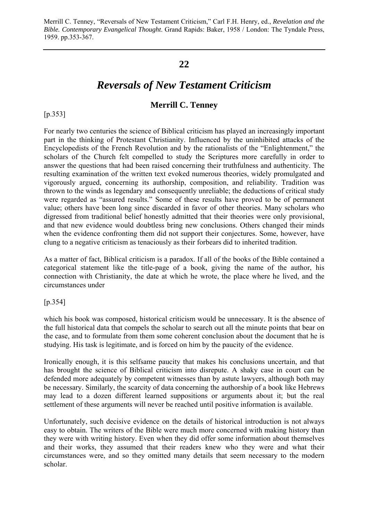## **22**

# *Reversals of New Testament Criticism*

## **Merrill C. Tenney**

#### [p.353]

For nearly two centuries the science of Biblical criticism has played an increasingly important part in the thinking of Protestant Christianity. Influenced by the uninhibited attacks of the Encyclopedists of the French Revolution and by the rationalists of the "Enlightenment," the scholars of the Church felt compelled to study the Scriptures more carefully in order to answer the questions that had been raised concerning their truthfulness and authenticity. The resulting examination of the written text evoked numerous theories, widely promulgated and vigorously argued, concerning its authorship, composition, and reliability. Tradition was thrown to the winds as legendary and consequently unreliable; the deductions of critical study were regarded as "assured results." Some of these results have proved to be of permanent value; others have been long since discarded in favor of other theories. Many scholars who digressed from traditional belief honestly admitted that their theories were only provisional, and that new evidence would doubtless bring new conclusions. Others changed their minds when the evidence confronting them did not support their conjectures. Some, however, have clung to a negative criticism as tenaciously as their forbears did to inherited tradition.

As a matter of fact, Biblical criticism is a paradox. If all of the books of the Bible contained a categorical statement like the title-page of a book, giving the name of the author, his connection with Christianity, the date at which he wrote, the place where he lived, and the circumstances under

#### [p.354]

which his book was composed, historical criticism would be unnecessary. It is the absence of the full historical data that compels the scholar to search out all the minute points that bear on the case, and to formulate from them some coherent conclusion about the document that he is studying. His task is legitimate, and is forced on him by the paucity of the evidence.

Ironically enough, it is this selfsame paucity that makes his conclusions uncertain, and that has brought the science of Biblical criticism into disrepute. A shaky case in court can be defended more adequately by competent witnesses than by astute lawyers, although both may be necessary. Similarly, the scarcity of data concerning the authorship of a book like Hebrews may lead to a dozen different learned suppositions or arguments about it; but the real settlement of these arguments will never be reached until positive information is available.

Unfortunately, such decisive evidence on the details of historical introduction is not always easy to obtain. The writers of the Bible were much more concerned with making history than they were with writing history. Even when they did offer some information about themselves and their works, they assumed that their readers knew who they were and what their circumstances were, and so they omitted many details that seem necessary to the modern scholar.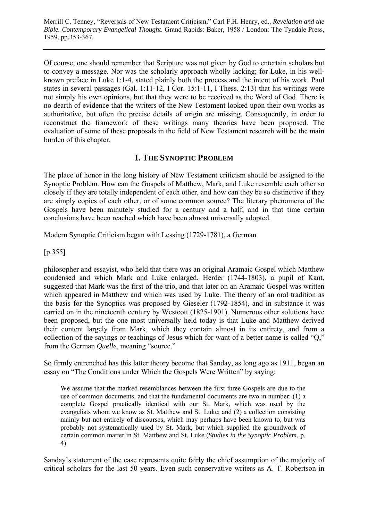Of course, one should remember that Scripture was not given by God to entertain scholars but to convey a message. Nor was the scholarly approach wholly lacking; for Luke, in his wellknown preface in Luke 1:1-4, stated plainly both the process and the intent of his work. Paul states in several passages (Gal. 1:11-12, I Cor. 15:1-11, I Thess. 2:13) that his writings were not simply his own opinions, but that they were to be received as the Word of God. There is no dearth of evidence that the writers of the New Testament looked upon their own works as authoritative, but often the precise details of origin are missing. Consequently, in order to reconstruct the framework of these writings many theories have been proposed. The evaluation of some of these proposals in the field of New Testament research will be the main burden of this chapter.

## **I. THE SYNOPTIC PROBLEM**

The place of honor in the long history of New Testament criticism should be assigned to the Synoptic Problem. How can the Gospels of Matthew, Mark, and Luke resemble each other so closely if they are totally independent of each other, and how can they be so distinctive if they are simply copies of each other, or of some common source? The literary phenomena of the Gospels have been minutely studied for a century and a half, and in that time certain conclusions have been reached which have been almost universally adopted.

Modern Synoptic Criticism began with Lessing (1729-1781), a German

[p.355]

philosopher and essayist, who held that there was an original Aramaic Gospel which Matthew condensed and which Mark and Luke enlarged. Herder (1744-1803), a pupil of Kant, suggested that Mark was the first of the trio, and that later on an Aramaic Gospel was written which appeared in Matthew and which was used by Luke. The theory of an oral tradition as the basis for the Synoptics was proposed by Gieseler (1792-1854), and in substance it was carried on in the nineteenth century by Westcott (1825-1901). Numerous other solutions have been proposed, but the one most universally held today is that Luke and Matthew derived their content largely from Mark, which they contain almost in its entirety, and from a collection of the sayings or teachings of Jesus which for want of a better name is called "Q," from the German *Quelle*, meaning "source."

So firmly entrenched has this latter theory become that Sanday, as long ago as 1911, began an essay on "The Conditions under Which the Gospels Were Written" by saying:

We assume that the marked resemblances between the first three Gospels are due to the use of common documents, and that the fundamental documents are two in number: (1) a complete Gospel practically identical with our St. Mark, which was used by the evangelists whom we know as St. Matthew and St. Luke; and (2) a collection consisting mainly but not entirely of discourses, which may perhaps have been known to, but was probably not systematically used by St. Mark, but which supplied the groundwork of certain common matter in St. Matthew and St. Luke (*Studies in the Synoptic Problem*, p. 4).

Sanday's statement of the case represents quite fairly the chief assumption of the majority of critical scholars for the last 50 years. Even such conservative writers as A. T. Robertson in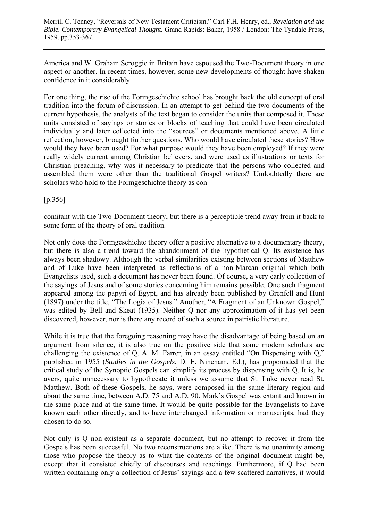America and W. Graham Scroggie in Britain have espoused the Two-Document theory in one aspect or another. In recent times, however, some new developments of thought have shaken confidence in it considerably.

For one thing, the rise of the Formgeschichte school has brought back the old concept of oral tradition into the forum of discussion. In an attempt to get behind the two documents of the current hypothesis, the analysts of the text began to consider the units that composed it. These units consisted of sayings or stories or blocks of teaching that could have been circulated individually and later collected into the "sources" or documents mentioned above. A little reflection, however, brought further questions. Who would have circulated these stories? How would they have been used? For what purpose would they have been employed? If they were really widely current among Christian believers, and were used as illustrations or texts for Christian preaching, why was it necessary to predicate that the persons who collected and assembled them were other than the traditional Gospel writers? Undoubtedly there are scholars who hold to the Formgeschichte theory as con-

#### [p.356]

comitant with the Two-Document theory, but there is a perceptible trend away from it back to some form of the theory of oral tradition.

Not only does the Formgeschichte theory offer a positive alternative to a documentary theory, but there is also a trend toward the abandonment of the hypothetical Q. Its existence has always been shadowy. Although the verbal similarities existing between sections of Matthew and of Luke have been interpreted as reflections of a non-Marcan original which both Evangelists used, such a document has never been found. Of course, a very early collection of the sayings of Jesus and of some stories concerning him remains possible. One such fragment appeared among the papyri of Egypt, and has already been published by Grenfell and Hunt (1897) under the title, "The Logia of Jesus." Another, "A Fragment of an Unknown Gospel," was edited by Bell and Skeat (1935). Neither Q nor any approximation of it has yet been discovered, however, nor is there any record of such a source in patristic literature.

While it is true that the foregoing reasoning may have the disadvantage of being based on an argument from silence, it is also true on the positive side that some modern scholars are challenging the existence of Q. A. M. Farrer, in an essay entitled "On Dispensing with Q," published in 1955 (*Studies in the Gospels*, D. E. Nineham, Ed.), has propounded that the critical study of the Synoptic Gospels can simplify its process by dispensing with Q. It is, he avers, quite unnecessary to hypothecate it unless we assume that St. Luke never read St. Matthew. Both of these Gospels, he says, were composed in the same literary region and about the same time, between A.D. 75 and A.D. 90. Mark's Gospel was extant and known in the same place and at the same time. It would be quite possible for the Evangelists to have known each other directly, and to have interchanged information or manuscripts, had they chosen to do so.

Not only is Q non-existent as a separate document, but no attempt to recover it from the Gospels has been successful. No two reconstructions are alike. There is no unanimity among those who propose the theory as to what the contents of the original document might be, except that it consisted chiefly of discourses and teachings. Furthermore, if Q had been written containing only a collection of Jesus' sayings and a few scattered narratives, it would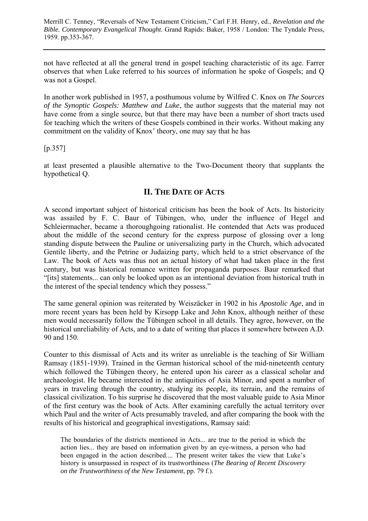not have reflected at all the general trend in gospel teaching characteristic of its age. Farrer observes that when Luke referred to his sources of information he spoke of Gospels; and Q was not a Gospel.

In another work published in 1957, a posthumous volume by Wilfred C. Knox on *The Sources of the Synoptic Gospels: Matthew and Luke*, the author suggests that the material may not have come from a single source, but that there may have been a number of short tracts used for teaching which the writers of these Gospels combined in their works. Without making any commitment on the validity of Knox' theory, one may say that he has

[p.357]

at least presented a plausible alternative to the Two-Document theory that supplants the hypothetical Q.

## **II. THE DATE OF ACTS**

A second important subject of historical criticism has been the book of Acts. Its historicity was assailed by F. C. Baur of Tübingen, who, under the influence of Hegel and Schleiermacher, became a thoroughgoing rationalist. He contended that Acts was produced about the middle of the second century for the express purpose of glossing over a long standing dispute between the Pauline or universalizing party in the Church, which advocated Gentile liberty, and the Petrine or Judaizing party, which held to a strict observance of the Law. The book of Acts was thus not an actual history of what had taken place in the first century, but was historical romance written for propaganda purposes. Baur remarked that "[its] statements... can only be looked upon as an intentional deviation from historical truth in the interest of the special tendency which they possess."

The same general opinion was reiterated by Weiszäcker in 1902 in his *Apostolic Age*, and in more recent years has been held by Kirsopp Lake and John Knox, although neither of these men would necessarily follow the Tübingen school in all details. They agree, however, on the historical unreliability of Acts, and to a date of writing that places it somewhere between A.D. 90 and 150.

Counter to this dismissal of Acts and its writer as unreliable is the teaching of Sir William Ramsay (1851-1939). Trained in the German historical school of the mid-nineteenth century which followed the Tübingen theory, he entered upon his career as a classical scholar and archaeologist. He became interested in the antiquities of Asia Minor, and spent a number of years in traveling through the country, studying its people, its terrain, and the remains of classical civilization. To his surprise he discovered that the most valuable guide to Asia Minor of the first century was the book of Acts. After examining carefully the actual territory over which Paul and the writer of Acts presumably traveled, and after comparing the book with the results of his historical and geographical investigations, Ramsay said:

The boundaries of the districts mentioned in Acts... are true to the period in which the action lies... they are based on information given by an eye-witness, a person who had been engaged in the action described.... The present writer takes the view that Luke's history is unsurpassed in respect of its trustworthiness (*The Bearing of Recent Discovery on the Trustworthiness of the New Testament*, pp. 79 f.).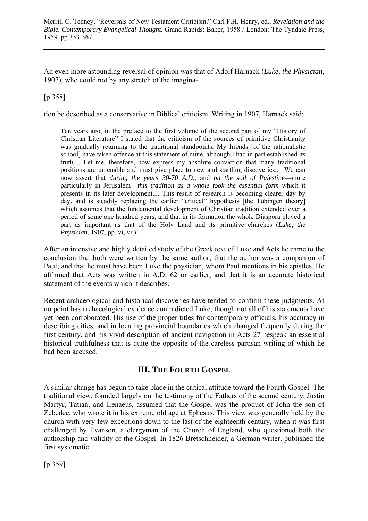An even more astounding reversal of opinion was that of Adolf Harnack (*Luke, the Physician*, 1907), who could not by any stretch of the imagina-

[p.358]

tion be described as a conservative in Biblical criticism. Writing in 1907, Harnack said:

Ten years ago, in the preface to the first volume of the second part of my "History of Christian Literature" I stated that the criticism of the sources of primitive Christianity was gradually returning to the traditional standpoints. My friends [of the rationalistic school] have taken offence at this statement of mine, although I had in part established its truth.... Let me, therefore, now express my absolute conviction that many traditional positions are untenable and must give place to new and startling discoveries.... We can now assert that *during the years 30-70 A.D.,* and *on the soil of Palestine*—more particularly in Jerusalem—*this tradition as a whole took the essential form* which it presents in its later development.... This result of research is becoming clearer day by day, and is steadily replacing the earlier "critical" hypothesis [the Tübingen theory] which assumes that the fundamental development of Christian tradition extended over a period of some one hundred years, and that in its formation the whole Diaspora played a part as important as that of the Holy Land and its primitive churches (*Luke, the Physician*, 1907, pp. vi, vii).

After an intensive and highly detailed study of the Greek text of Luke and Acts he came to the conclusion that both were written by the same author; that the author was a companion of Paul; and that he must have been Luke the physician, whom Paul mentions in his epistles. He affirmed that Acts was written in A.D. 62 or earlier, and that it is an accurate historical statement of the events which it describes.

Recent archaeological and historical discoveries have tended to confirm these judgments. At no point has archaeological evidence contradicted Luke, though not all of his statements have yet been corroborated. His use of the proper titles for contemporary officials, his accuracy in describing cities, and in locating provincial boundaries which changed frequently during the first century, and his vivid description of ancient navigation in Acts 27 bespeak an essential historical truthfulness that is quite the opposite of the careless partisan writing of which he had been accused.

## **III. THE FOURTH GOSPEL**

A similar change has begun to take place in the critical attitude toward the Fourth Gospel. The traditional view, founded largely on the testimony of the Fathers of the second century, Justin Martyr, Tatian, and Irenaeus, assumed that the Gospel was the product of John the son of Zebedee, who wrote it in his extreme old age at Ephesus. This view was generally held by the church with very few exceptions down to the last of the eighteenth century, when it was first challenged by Evanson, a clergyman of the Church of England, who questioned both the authorship and validity of the Gospel. In 1826 Bretschneider, a German writer, published the first systematic

[p.359]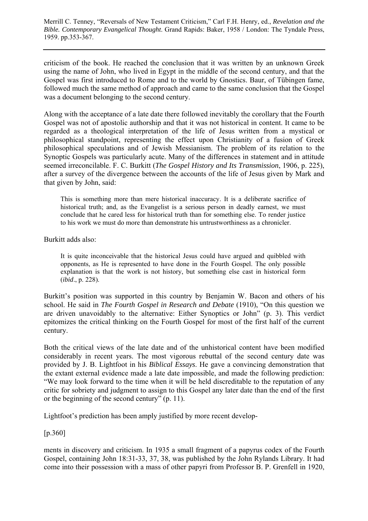criticism of the book. He reached the conclusion that it was written by an unknown Greek using the name of John, who lived in Egypt in the middle of the second century, and that the Gospel was first introduced to Rome and to the world by Gnostics. Baur, of Tübingen fame, followed much the same method of approach and came to the same conclusion that the Gospel was a document belonging to the second century.

Along with the acceptance of a late date there followed inevitably the corollary that the Fourth Gospel was not of apostolic authorship and that it was not historical in content. It came to be regarded as a theological interpretation of the life of Jesus written from a mystical or philosophical standpoint, representing the effect upon Christianity of a fusion of Greek philosophical speculations and of Jewish Messianism. The problem of its relation to the Synoptic Gospels was particularly acute. Many of the differences in statement and in attitude seemed irreconcilable. F. C. Burkitt (*The Gospel History and Its Transmission*, 1906, p. 225), after a survey of the divergence between the accounts of the life of Jesus given by Mark and that given by John, said:

This is something more than mere historical inaccuracy. It is a deliberate sacrifice of historical truth; and, as the Evangelist is a serious person in deadly earnest, we must conclude that he cared less for historical truth than for something else. To render justice to his work we must do more than demonstrate his untrustworthiness as a chronicler.

Burkitt adds also:

It is quite inconceivable that the historical Jesus could have argued and quibbled with opponents, as He is represented to have done in the Fourth Gospel. The only possible explanation is that the work is not history, but something else cast in historical form (*ibid*., p. 228).

Burkitt's position was supported in this country by Benjamin W. Bacon and others of his school. He said in *The Fourth Gospel in Research and Debate* (1910), "On this question we are driven unavoidably to the alternative: Either Synoptics or John" (p. 3). This verdict epitomizes the critical thinking on the Fourth Gospel for most of the first half of the current century.

Both the critical views of the late date and of the unhistorical content have been modified considerably in recent years. The most vigorous rebuttal of the second century date was provided by J. B. Lightfoot in his *Biblical Essays*. He gave a convincing demonstration that the extant external evidence made a late date impossible, and made the following prediction: "We may look forward to the time when it will be held discreditable to the reputation of any critic for sobriety and judgment to assign to this Gospel any later date than the end of the first or the beginning of the second century" (p. 11).

Lightfoot's prediction has been amply justified by more recent develop-

[p.360]

ments in discovery and criticism. In 1935 a small fragment of a papyrus codex of the Fourth Gospel, containing John 18:31-33, 37, 38, was published by the John Rylands Library. It had come into their possession with a mass of other papyri from Professor B. P. Grenfell in 1920,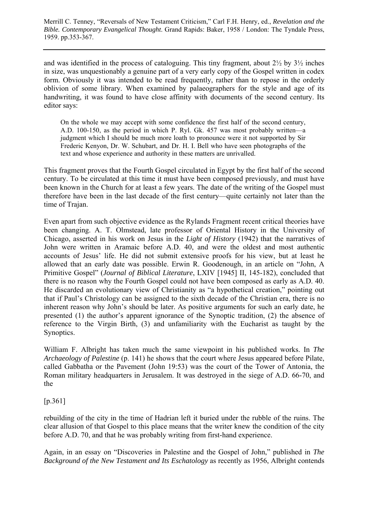and was identified in the process of cataloguing. This tiny fragment, about 2½ by 3½ inches in size, was unquestionably a genuine part of a very early copy of the Gospel written in codex form. Obviously it was intended to be read frequently, rather than to repose in the orderly oblivion of some library. When examined by palaeographers for the style and age of its handwriting, it was found to have close affinity with documents of the second century. Its editor says:

On the whole we may accept with some confidence the first half of the second century, A.D. 100-150, as the period in which P. Ryl. Gk. 457 was most probably written—a judgment which I should be much more loath to pronounce were it not supported by Sir Frederic Kenyon, Dr. W. Schubart, and Dr. H. I. Bell who have seen photographs of the text and whose experience and authority in these matters are unrivalled.

This fragment proves that the Fourth Gospel circulated in Egypt by the first half of the second century. To be circulated at this time it must have been composed previously, and must have been known in the Church for at least a few years. The date of the writing of the Gospel must therefore have been in the last decade of the first century—quite certainly not later than the time of Trajan.

Even apart from such objective evidence as the Rylands Fragment recent critical theories have been changing. A. T. Olmstead, late professor of Oriental History in the University of Chicago, asserted in his work on Jesus in the *Light of History* (1942) that the narratives of John were written in Aramaic before A.D. 40, and were the oldest and most authentic accounts of Jesus' life. He did not submit extensive proofs for his view, but at least he allowed that an early date was possible. Erwin R. Goodenough, in an article on "John, A Primitive Gospel" (*Journal of Biblical Literature*, LXIV [1945] II, 145-182), concluded that there is no reason why the Fourth Gospel could not have been composed as early as A.D. 40. He discarded an evolutionary view of Christianity as "a hypothetical creation," pointing out that if Paul's Christology can be assigned to the sixth decade of the Christian era, there is no inherent reason why John's should be later. As positive arguments for such an early date, he presented (1) the author's apparent ignorance of the Synoptic tradition, (2) the absence of reference to the Virgin Birth, (3) and unfamiliarity with the Eucharist as taught by the Synoptics.

William F. Albright has taken much the same viewpoint in his published works. In *The Archaeology of Palestine* (p. 141) he shows that the court where Jesus appeared before Pilate, called Gabbatha or the Pavement (John 19:53) was the court of the Tower of Antonia, the Roman military headquarters in Jerusalem. It was destroyed in the siege of A.D. 66-70, and the

[p.361]

rebuilding of the city in the time of Hadrian left it buried under the rubble of the ruins. The clear allusion of that Gospel to this place means that the writer knew the condition of the city before A.D. 70, and that he was probably writing from first-hand experience.

Again, in an essay on "Discoveries in Palestine and the Gospel of John," published in *The Background of the New Testament and Its Eschatology* as recently as 1956, Albright contends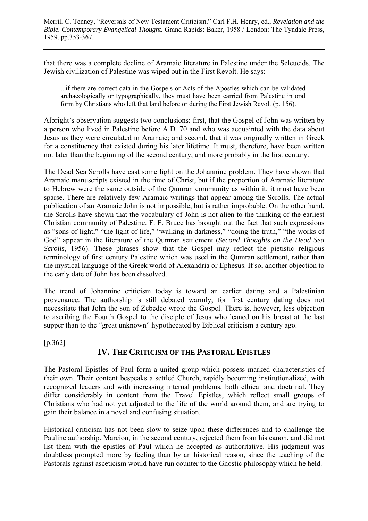that there was a complete decline of Aramaic literature in Palestine under the Seleucids. The Jewish civilization of Palestine was wiped out in the First Revolt. He says:

...if there are correct data in the Gospels or Acts of the Apostles which can be validated archaeologically or typographically, they must have been carried from Palestine in oral form by Christians who left that land before or during the First Jewish Revolt (p. 156).

Albright's observation suggests two conclusions: first, that the Gospel of John was written by a person who lived in Palestine before A.D. 70 and who was acquainted with the data about Jesus as they were circulated in Aramaic; and second, that it was originally written in Greek for a constituency that existed during his later lifetime. It must, therefore, have been written not later than the beginning of the second century, and more probably in the first century.

The Dead Sea Scrolls have cast some light on the Johannine problem. They have shown that Aramaic manuscripts existed in the time of Christ, but if the proportion of Aramaic literature to Hebrew were the same outside of the Qumran community as within it, it must have been sparse. There are relatively few Aramaic writings that appear among the Scrolls. The actual publication of an Aramaic John is not impossible, but is rather improbable. On the other hand, the Scrolls have shown that the vocabulary of John is not alien to the thinking of the earliest Christian community of Palestine. F. F. Bruce has brought out the fact that such expressions as "sons of light," "the light of life," "walking in darkness," "doing the truth," "the works of God" appear in the literature of the Qumran settlement (*Second Thoughts on the Dead Sea Scrolls*, 1956). These phrases show that the Gospel may reflect the pietistic religious terminology of first century Palestine which was used in the Qumran settlement, rather than the mystical language of the Greek world of Alexandria or Ephesus. If so, another objection to the early date of John has been dissolved.

The trend of Johannine criticism today is toward an earlier dating and a Palestinian provenance. The authorship is still debated warmly, for first century dating does not necessitate that John the son of Zebedee wrote the Gospel. There is, however, less objection to ascribing the Fourth Gospel to the disciple of Jesus who leaned on his breast at the last supper than to the "great unknown" hypothecated by Biblical criticism a century ago.

[p.362]

## **IV. THE CRITICISM OF THE PASTORAL EPISTLES**

The Pastoral Epistles of Paul form a united group which possess marked characteristics of their own. Their content bespeaks a settled Church, rapidly becoming institutionalized, with recognized leaders and with increasing internal problems, both ethical and doctrinal. They differ considerably in content from the Travel Epistles, which reflect small groups of Christians who had not yet adjusted to the life of the world around them, and are trying to gain their balance in a novel and confusing situation.

Historical criticism has not been slow to seize upon these differences and to challenge the Pauline authorship. Marcion, in the second century, rejected them from his canon, and did not list them with the epistles of Paul which he accepted as authoritative. His judgment was doubtless prompted more by feeling than by an historical reason, since the teaching of the Pastorals against asceticism would have run counter to the Gnostic philosophy which he held.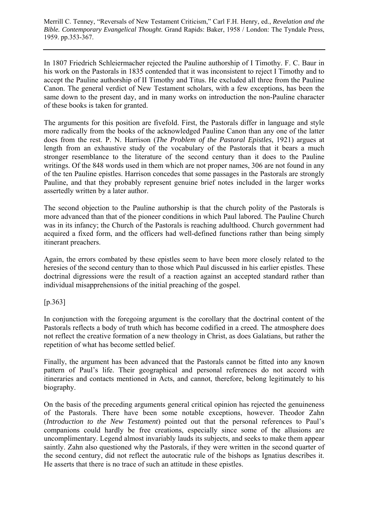In 1807 Friedrich Schleiermacher rejected the Pauline authorship of I Timothy. F. C. Baur in his work on the Pastorals in 1835 contended that it was inconsistent to reject I Timothy and to accept the Pauline authorship of II Timothy and Titus. He excluded all three from the Pauline Canon. The general verdict of New Testament scholars, with a few exceptions, has been the same down to the present day, and in many works on introduction the non-Pauline character of these books is taken for granted.

The arguments for this position are fivefold. First, the Pastorals differ in language and style more radically from the books of the acknowledged Pauline Canon than any one of the latter does from the rest. P. N. Harrison (*The Problem of the Pastoral Epistles*, 1921) argues at length from an exhaustive study of the vocabulary of the Pastorals that it bears a much stronger resemblance to the literature of the second century than it does to the Pauline writings. Of the 848 words used in them which are not proper names, 306 are not found in any of the ten Pauline epistles. Harrison concedes that some passages in the Pastorals are strongly Pauline, and that they probably represent genuine brief notes included in the larger works assertedly written by a later author.

The second objection to the Pauline authorship is that the church polity of the Pastorals is more advanced than that of the pioneer conditions in which Paul labored. The Pauline Church was in its infancy; the Church of the Pastorals is reaching adulthood. Church government had acquired a fixed form, and the officers had well-defined functions rather than being simply itinerant preachers.

Again, the errors combated by these epistles seem to have been more closely related to the heresies of the second century than to those which Paul discussed in his earlier epistles. These doctrinal digressions were the result of a reaction against an accepted standard rather than individual misapprehensions of the initial preaching of the gospel.

[p.363]

In conjunction with the foregoing argument is the corollary that the doctrinal content of the Pastorals reflects a body of truth which has become codified in a creed. The atmosphere does not reflect the creative formation of a new theology in Christ, as does Galatians, but rather the repetition of what has become settled belief.

Finally, the argument has been advanced that the Pastorals cannot be fitted into any known pattern of Paul's life. Their geographical and personal references do not accord with itineraries and contacts mentioned in Acts, and cannot, therefore, belong legitimately to his biography.

On the basis of the preceding arguments general critical opinion has rejected the genuineness of the Pastorals. There have been some notable exceptions, however. Theodor Zahn (*Introduction to the New Testament*) pointed out that the personal references to Paul's companions could hardly be free creations, especially since some of the allusions are uncomplimentary. Legend almost invariably lauds its subjects, and seeks to make them appear saintly. Zahn also questioned why the Pastorals, if they were written in the second quarter of the second century, did not reflect the autocratic rule of the bishops as Ignatius describes it. He asserts that there is no trace of such an attitude in these epistles.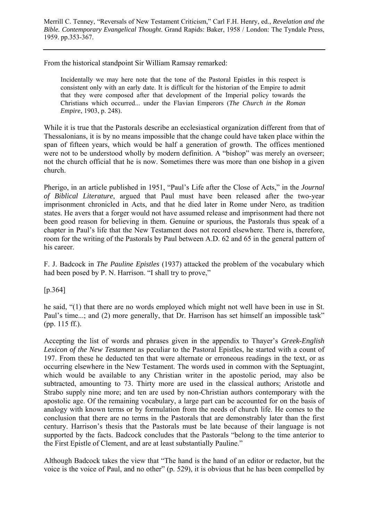From the historical standpoint Sir William Ramsay remarked:

Incidentally we may here note that the tone of the Pastoral Epistles in this respect is consistent only with an early date. It is difficult for the historian of the Empire to admit that they were composed after that development of the Imperial policy towards the Christians which occurred... under the Flavian Emperors (*The Church in the Roman Empire*, 1903, p. 248).

While it is true that the Pastorals describe an ecclesiastical organization different from that of Thessalonians, it is by no means impossible that the change could have taken place within the span of fifteen years, which would be half a generation of growth. The offices mentioned were not to be understood wholly by modern definition. A "bishop" was merely an overseer; not the church official that he is now. Sometimes there was more than one bishop in a given church.

Pherigo, in an article published in 1951, "Paul's Life after the Close of Acts," in the *Journal of Biblical Literature*, argued that Paul must have been released after the two-year imprisonment chronicled in Acts, and that he died later in Rome under Nero, as tradition states. He avers that a forger would not have assumed release and imprisonment had there not been good reason for believing in them. Genuine or spurious, the Pastorals thus speak of a chapter in Paul's life that the New Testament does not record elsewhere. There is, therefore, room for the writing of the Pastorals by Paul between A.D. 62 and 65 in the general pattern of his career.

F. J. Badcock in *The Pauline Epistles* (1937) attacked the problem of the vocabulary which had been posed by P. N. Harrison. "I shall try to prove,"

[p.364]

he said, "(1) that there are no words employed which might not well have been in use in St. Paul's time...; and (2) more generally, that Dr. Harrison has set himself an impossible task" (pp. 115 ff.).

Accepting the list of words and phrases given in the appendix to Thayer's *Greek-English Lexicon of the New Testament* as peculiar to the Pastoral Epistles, he started with a count of 197. From these he deducted ten that were alternate or erroneous readings in the text, or as occurring elsewhere in the New Testament. The words used in common with the Septuagint, which would be available to any Christian writer in the apostolic period, may also be subtracted, amounting to 73. Thirty more are used in the classical authors; Aristotle and Strabo supply nine more; and ten are used by non-Christian authors contemporary with the apostolic age. Of the remaining vocabulary, a large part can be accounted for on the basis of analogy with known terms or by formulation from the needs of church life. He comes to the conclusion that there are no terms in the Pastorals that are demonstrably later than the first century. Harrison's thesis that the Pastorals must be late because of their language is not supported by the facts. Badcock concludes that the Pastorals "belong to the time anterior to the First Epistle of Clement, and are at least substantially Pauline."

Although Badcock takes the view that "The hand is the hand of an editor or redactor, but the voice is the voice of Paul, and no other" (p. 529), it is obvious that he has been compelled by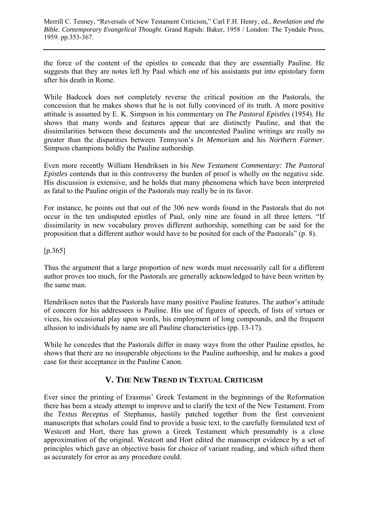the force of the content of the epistles to concede that they are essentially Pauline. He suggests that they are notes left by Paul which one of his assistants put into epistolary form after his death in Rome.

While Badcock does not completely reverse the critical position on the Pastorals, the concession that he makes shows that he is not fully convinced of its truth. A more positive attitude is assumed by E. K. Simpson in his commentary on *The Pastoral Epistles* (1954). He shows that many words and features appear that are distinctly Pauline, and that the dissimilarities between these documents and the uncontested Pauline writings are really no greater than the disparities between Tennyson's *In Memoriam* and his *Northern Farmer*. Simpson champions boldly the Pauline authorship.

Even more recently William Hendriksen in his *New Testament Commentary: The Pastoral Epistles* contends that in this controversy the burden of proof is wholly on the negative side. His discussion is extensive, and he holds that many phenomena which have been interpreted as fatal to the Pauline origin of the Pastorals may really be in its favor.

For instance, he points out that out of the 306 new words found in the Pastorals that do not occur in the ten undisputed epistles of Paul, only nine are found in all three letters. "If dissimilarity in new vocabulary proves different authorship, something can be said for the proposition that a different author would have to be posited for each of the Pastorals" (p. 8).

[p.365]

Thus the argument that a large proportion of new words must necessarily call for a different author proves too much, for the Pastorals are generally acknowledged to have been written by the same man.

Hendriksen notes that the Pastorals have many positive Pauline features. The author's attitude of concern for his addressees is Pauline. His use of figures of speech, of lists of virtues or vices, his occasional play upon words, his employment of long compounds, and the frequent allusion to individuals by name are all Pauline characteristics (pp. 13-17).

While he concedes that the Pastorals differ in many ways from the other Pauline epistles, he shows that there are no insuperable objections to the Pauline authorship, and he makes a good case for their acceptance in the Pauline Canon.

## **V. THE NEW TREND IN TEXTUAL CRITICISM**

Ever since the printing of Erasmus' Greek Testament in the beginnings of the Reformation there has been a steady attempt to improve and to clarify the text of the New Testament. From the *Textus Receptus* of Stephanus, hastily patched together from the first convenient manuscripts that scholars could find to provide a basic text, to the carefully formulated text of Westcott and Hort, there has grown a Greek Testament which presumably is a close approximation of the original. Westcott and Hort edited the manuscript evidence by a set of principles which gave an objective basis for choice of variant reading, and which sifted them as accurately for error as any procedure could.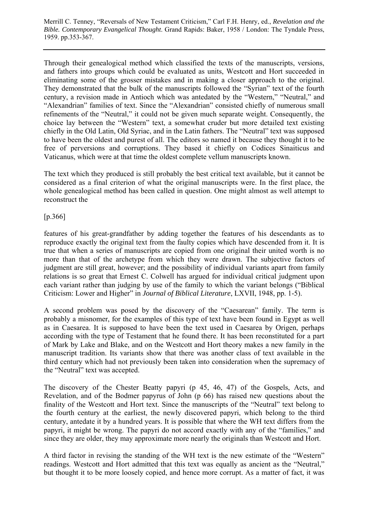Through their genealogical method which classified the texts of the manuscripts, versions, and fathers into groups which could be evaluated as units, Westcott and Hort succeeded in eliminating some of the grosser mistakes and in making a closer approach to the original. They demonstrated that the bulk of the manuscripts followed the "Syrian" text of the fourth century, a revision made in Antioch which was antedated by the "Western," "Neutral," and "Alexandrian" families of text. Since the "Alexandrian" consisted chiefly of numerous small refinements of the "Neutral," it could not be given much separate weight. Consequently, the choice lay between the "Western" text, a somewhat cruder but more detailed text existing chiefly in the Old Latin, Old Syriac, and in the Latin fathers. The "Neutral" text was supposed to have been the oldest and purest of all. The editors so named it because they thought it to be free of perversions and corruptions. They based it chiefly on Codices Sinaiticus and Vaticanus, which were at that time the oldest complete vellum manuscripts known.

The text which they produced is still probably the best critical text available, but it cannot be considered as a final criterion of what the original manuscripts were. In the first place, the whole genealogical method has been called in question. One might almost as well attempt to reconstruct the

[p.366]

features of his great-grandfather by adding together the features of his descendants as to reproduce exactly the original text from the faulty copies which have descended from it. It is true that when a series of manuscripts are copied from one original their united worth is no more than that of the archetype from which they were drawn. The subjective factors of judgment are still great, however; and the possibility of individual variants apart from family relations is so great that Ernest C. Colwell has argued for individual critical judgment upon each variant rather than judging by use of the family to which the variant belongs ("Biblical Criticism: Lower and Higher" in *Journal of Biblical Literature*, LXVII, 1948, pp. 1-5).

A second problem was posed by the discovery of the "Caesarean" family. The term is probably a misnomer, for the examples of this type of text have been found in Egypt as well as in Caesarea. It is supposed to have been the text used in Caesarea by Origen, perhaps according with the type of Testament that he found there. It has been reconstituted for a part of Mark by Lake and Blake, and on the Westcott and Hort theory makes a new family in the manuscript tradition. Its variants show that there was another class of text available in the third century which had not previously been taken into consideration when the supremacy of the "Neutral" text was accepted.

The discovery of the Chester Beatty papyri (p 45, 46, 47) of the Gospels, Acts, and Revelation, and of the Bodmer papyrus of John (p 66) has raised new questions about the finality of the Westcott and Hort text. Since the manuscripts of the "Neutral" text belong to the fourth century at the earliest, the newly discovered papyri, which belong to the third century, antedate it by a hundred years. It is possible that where the WH text differs from the papyri, it might be wrong. The papyri do not accord exactly with any of the "families," and since they are older, they may approximate more nearly the originals than Westcott and Hort.

A third factor in revising the standing of the WH text is the new estimate of the "Western" readings. Westcott and Hort admitted that this text was equally as ancient as the "Neutral," but thought it to be more loosely copied, and hence more corrupt. As a matter of fact, it was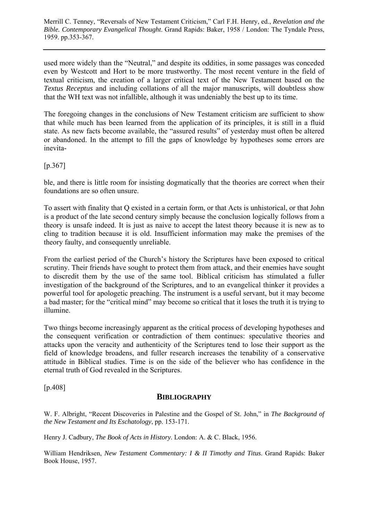used more widely than the "Neutral," and despite its oddities, in some passages was conceded even by Westcott and Hort to be more trustworthy. The most recent venture in the field of textual criticism, the creation of a larger critical text of the New Testament based on the *Textus Receptus* and including collations of all the major manuscripts, will doubtless show that the WH text was not infallible, although it was undeniably the best up to its time.

The foregoing changes in the conclusions of New Testament criticism are sufficient to show that while much has been learned from the application of its principles, it is still in a fluid state. As new facts become available, the "assured results" of yesterday must often be altered or abandoned. In the attempt to fill the gaps of knowledge by hypotheses some errors are inevita-

[p.367]

ble, and there is little room for insisting dogmatically that the theories are correct when their foundations are so often unsure.

To assert with finality that Q existed in a certain form, or that Acts is unhistorical, or that John is a product of the late second century simply because the conclusion logically follows from a theory is unsafe indeed. It is just as naive to accept the latest theory because it is new as to cling to tradition because it is old. Insufficient information may make the premises of the theory faulty, and consequently unreliable.

From the earliest period of the Church's history the Scriptures have been exposed to critical scrutiny. Their friends have sought to protect them from attack, and their enemies have sought to discredit them by the use of the same tool. Biblical criticism has stimulated a fuller investigation of the background of the Scriptures, and to an evangelical thinker it provides a powerful tool for apologetic preaching. The instrument is a useful servant, but it may become a bad master; for the "critical mind" may become so critical that it loses the truth it is trying to illumine.

Two things become increasingly apparent as the critical process of developing hypotheses and the consequent verification or contradiction of them continues: speculative theories and attacks upon the veracity and authenticity of the Scriptures tend to lose their support as the field of knowledge broadens, and fuller research increases the tenability of a conservative attitude in Biblical studies. Time is on the side of the believer who has confidence in the eternal truth of God revealed in the Scriptures.

[p.408]

#### **BIBLIOGRAPHY**

W. F. Albright, "Recent Discoveries in Palestine and the Gospel of St. John," in *The Background of the New Testament and Its Eschatology*, pp. 153-171.

Henry J. Cadbury, *The Book of Acts in History*. London: A. & C. Black, 1956.

William Hendriksen, *New Testament Commentary: I & II Timothy and Titus*. Grand Rapids: Baker Book House, 1957.